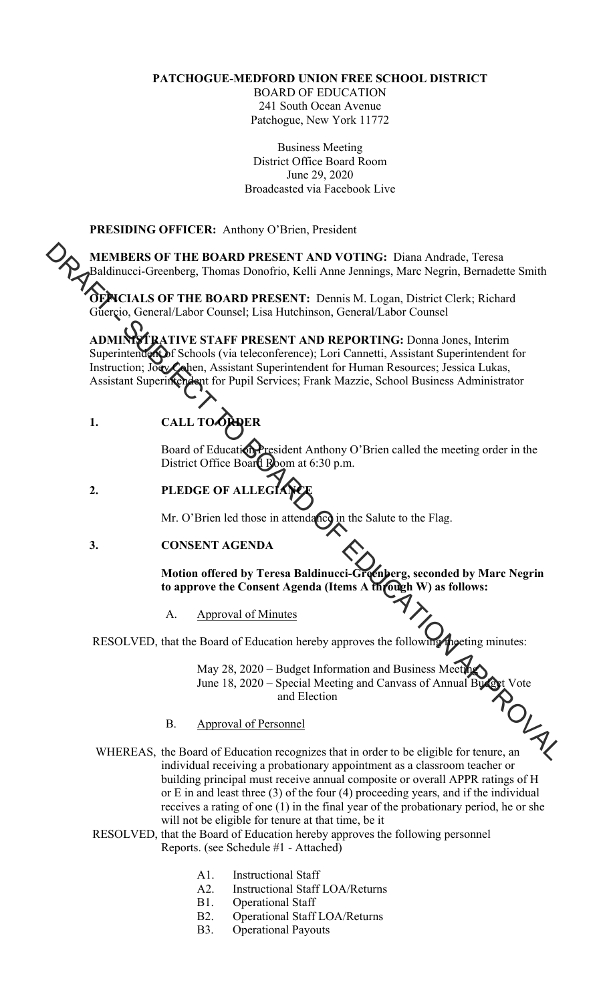# **PATCHOGUE-MEDFORD UNION FREE SCHOOL DISTRICT**

BOARD OF EDUCATION 241 South Ocean Avenue Patchogue, New York 11772

Business Meeting District Office Board Room June 29, 2020 Broadcasted via Facebook Live

### **PRESIDING OFFICER:** Anthony O'Brien, President

**MEMBERS OF THE BOARD PRESENT AND VOTING:** Diana Andrade, Teresa Baldinucci-Greenberg, Thomas Donofrio, Kelli Anne Jennings, Marc Negrin, Bernadette Smith

OFNCIALS OF THE BOARD PRESENT: Dennis M. Logan, District Clerk; Richard Guercio, General/Labor Counsel; Lisa Hutchinson, General/Labor Counsel

**ABATIVE STAFF PRESENT AND REPORTING:** Donna Jones, Interim Superintendent of Schools (via teleconference); Lori Cannetti, Assistant Superintendent for Instruction; Joey Cohen, Assistant Superintendent for Human Resources; Jessica Lukas, Assistant Superintendent for Pupil Services; Frank Mazzie, School Business Administrator MEMBERS OF THE BOARD PRESENT AND VOTING: Diama Andrade, Teresa<br>
Baddimeci-Greeaberg, Thomas Donofrio, Kelli Ame Jennings, Marc Negrin, Bernadette Smith<br>
The Constral Abor Constral Abor Constral Abor Constal Abor Constal Ab

# 1. CALL TO **ORDER**

Board of Education President Anthony O'Brien called the meeting order in the District Office Board Room at 6:30 p.m.

# **2.** PLEDGE OF ALLEGI

Mr. O'Brien led those in attendance in the Salute to the Flag.

### **3. CONSENT AGENDA**

**Motion offered by Teresa Baldinucci-Greenberg, seconded by Marc Negrin to approve the Consent Agenda (Items A through W) as follows:** 

A. Approval of Minutes

RESOLVED, that the Board of Education hereby approves the following meeting minutes:

May 28, 2020 – Budget Information and Business Meeti June 18, 2020 – Special Meeting and Canvass of Annual Budget Vote<br>and Election and Election

# B. Approval of Personnel

WHEREAS, the Board of Education recognizes that in order to be eligible for tenure, an individual receiving a probationary appointment as a classroom teacher or building principal must receive annual composite or overall APPR ratings of H or E in and least three (3) of the four (4) proceeding years, and if the individual receives a rating of one (1) in the final year of the probationary period, he or she will not be eligible for tenure at that time, be it

### RESOLVED, that the Board of Education hereby approves the following personnel Reports. (see Schedule #1 - Attached)

- A1. Instructional Staff
- A2. Instructional Staff LOA/Returns
- B1. Operational Staff
- B2. Operational Staff LOA/Returns
- B3. Operational Payouts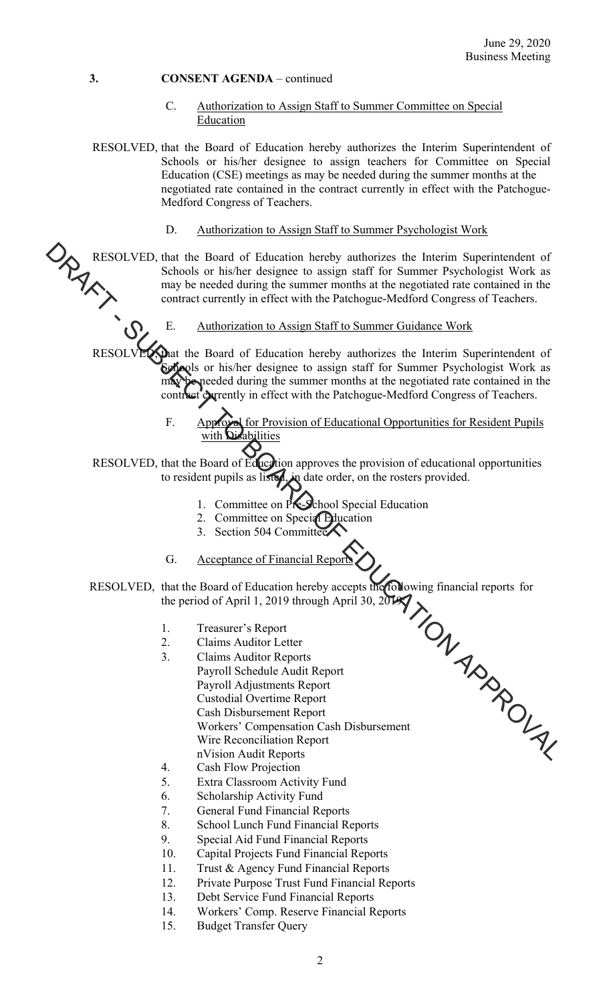- C. Authorization to Assign Staff to Summer Committee on Special Education
- RESOLVED, that the Board of Education hereby authorizes the Interim Superintendent of Schools or his/her designee to assign teachers for Committee on Special Education (CSE) meetings as may be needed during the summer months at the negotiated rate contained in the contract currently in effect with the Patchogue-Medford Congress of Teachers.
	- D. Authorization to Assign Staff to Summer Psychologist Work

RESOLVED, that the Board of Education hereby authorizes the Interim Superintendent of Schools or his/her designee to assign staff for Summer Psychologist Work as may be needed during the summer months at the negotiated rate contained in the contract currently in effect with the Patchogue-Medford Congress of Teachers.

E. Authorization to Assign Staff to Summer Guidance Work

RESOLVED, that the Board of Education hereby authorizes the Interim Superintendent of Schools or his/her designee to assign staff for Summer Psychologist Work as may be needed during the summer months at the negotiated rate contained in the contract currently in effect with the Patchogue-Medford Congress of Teachers.

> F. Approval for Provision of Educational Opportunities for Resident Pupils with Disabilities

RESOLVED, that the Board of Education approves the provision of educational opportunities to resident pupils as listed, in date order, on the rosters provided.

- 1. Committee on Pre-School Special Education
- 2. Committee on Special Education
- 3. Section 504 Committee
- G. Acceptance of Financial Reports

RESOLVED, that the Board of Education hereby accepts the following financial reports for the period of April 1, 2019 through April 30, 2019

- 1. Treasurer's Report
- 2. Claims Auditor Letter
- 3. Claims Auditor Reports Payroll Schedule Audit Report Payroll Adjustments Report Custodial Overtime Report Cash Disbursement Report Workers' Compensation Cash Disbursement Wire Reconciliation Report nVision Audit Reports MESOLVED, that the Board of Tclucation hereby authorizes the Interim Superintendent of<br>
Schools or his?her designes to assign starf for Summer Coriclegist Work as<br>
evoluted during the summer months at the negatiated measur
	- 4. Cash Flow Projection
	- 5. Extra Classroom Activity Fund
	- 6. Scholarship Activity Fund
	- 7. General Fund Financial Reports
	- 8. School Lunch Fund Financial Reports
	- 9. Special Aid Fund Financial Reports
	- 10. Capital Projects Fund Financial Reports
	- 11. Trust & Agency Fund Financial Reports
	- 12. Private Purpose Trust Fund Financial Reports
	- 13. Debt Service Fund Financial Reports
	- 14. Workers' Comp. Reserve Financial Reports
	- 15. Budget Transfer Query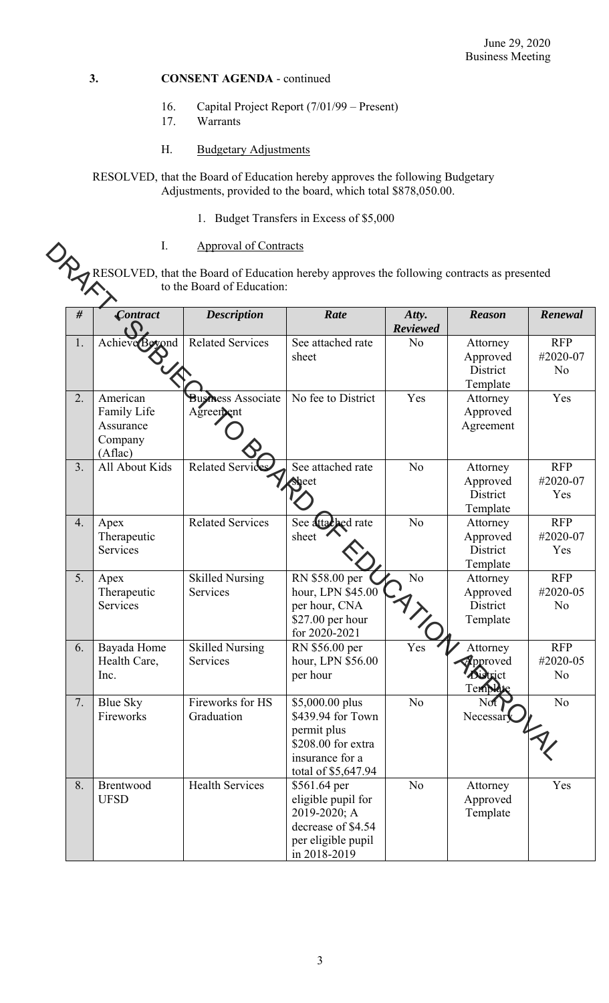- 16. Capital Project Report (7/01/99 Present)
- 17. Warrants

# H. Budgetary Adjustments

RESOLVED, that the Board of Education hereby approves the following Budgetary Adjustments, provided to the board, which total \$878,050.00.

1. Budget Transfers in Excess of \$5,000

| Approval of Contracts |
|-----------------------|
|                       |

| #  | Contract                                                   | <b>Description</b>                     | Rate                                                                                                                | Atty.<br><b>Reviewed</b> | <b>Reason</b>                                                                | Renewal                                  |
|----|------------------------------------------------------------|----------------------------------------|---------------------------------------------------------------------------------------------------------------------|--------------------------|------------------------------------------------------------------------------|------------------------------------------|
| 1. | Achieve Beyond                                             | <b>Related Services</b>                | See attached rate<br>sheet                                                                                          | N <sub>o</sub>           | Attorney<br>Approved<br>District<br>Template                                 | <b>RFP</b><br>#2020-07<br>No             |
| 2. | American<br>Family Life<br>Assurance<br>Company<br>(Aflac) | <b>Business Associate</b><br>Agreement | No fee to District                                                                                                  | Yes                      | Attorney<br>Approved<br>Agreement                                            | Yes                                      |
| 3. | All About Kids                                             | <b>Related Servic</b>                  | See attached rate<br>aeet                                                                                           | N <sub>o</sub>           | Attorney<br>Approved<br>District<br>Template                                 | <b>RFP</b><br>#2020-07<br>Yes            |
| 4. | Apex<br>Therapeutic<br><b>Services</b>                     | <b>Related Services</b>                | See attached rate<br>sheet                                                                                          | N <sub>o</sub>           | Attorney<br>Approved<br>District<br>Template                                 | <b>RFP</b><br>#2020-07<br>Yes            |
| 5. | Apex<br>Therapeutic<br>Services                            | <b>Skilled Nursing</b><br>Services     | RN \$58.00 per<br>hour, LPN \$45.00<br>per hour, CNA<br>\$27.00 per hour<br>for 2020-2021                           | N <sub>o</sub>           | Attorney<br>Approved<br>District<br>Template                                 | <b>RFP</b><br>#2020-05<br>N <sub>o</sub> |
| 6. | Bayada Home<br>Health Care,<br>Inc.                        | <b>Skilled Nursing</b><br>Services     | RN \$56.00 per<br>hour, LPN \$56.00<br>per hour                                                                     | Yes                      | Attorney<br><b>Epproved</b><br>istrict<br>$\mathbf{L}_{\mathbf{k}}$<br>I CUI | <b>RFP</b><br>#2020-05<br>No             |
| 7. | <b>Blue Sky</b><br>Fireworks                               | Fireworks for HS<br>Graduation         | \$5,000.00 plus<br>\$439.94 for Town<br>permit plus<br>\$208.00 for extra<br>insurance for a<br>total of \$5,647.94 | N <sub>o</sub>           | Not<br>Necessar                                                              | N <sub>o</sub>                           |
| 8. | Brentwood<br><b>UFSD</b>                                   | <b>Health Services</b>                 | \$561.64 per<br>eligible pupil for<br>2019-2020; A<br>decrease of \$4.54<br>per eligible pupil<br>in 2018-2019      | N <sub>o</sub>           | Attorney<br>Approved<br>Template                                             | Yes                                      |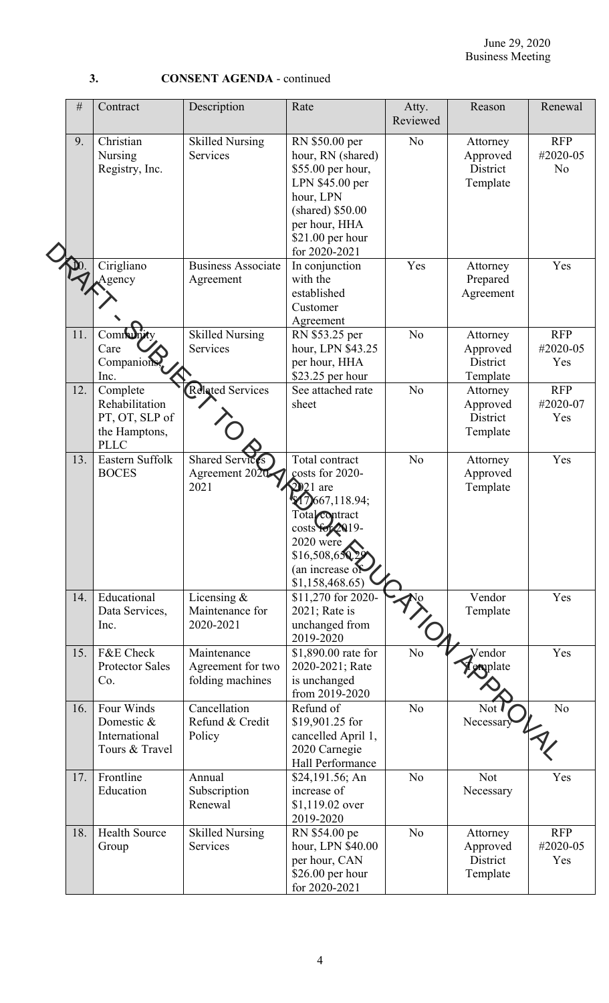**3. CONSENT AGENDA** - continued

|  | $\#$ | Contract                                                                     | Description                                          | Rate                                                                                                                                                                                  | Atty.<br>Reviewed | Reason                                       | Renewal                                  |
|--|------|------------------------------------------------------------------------------|------------------------------------------------------|---------------------------------------------------------------------------------------------------------------------------------------------------------------------------------------|-------------------|----------------------------------------------|------------------------------------------|
|  | 9.   | Christian<br>Nursing<br>Registry, Inc.                                       | <b>Skilled Nursing</b><br>Services                   | RN \$50.00 per<br>hour, RN (shared)<br>\$55.00 per hour,<br>LPN \$45.00 per<br>hour, LPN<br>(shared) \$50.00<br>per hour, HHA<br>$$21.00$ per hour<br>for 2020-2021                   | N <sub>o</sub>    | Attorney<br>Approved<br>District<br>Template | <b>RFP</b><br>#2020-05<br>N <sub>o</sub> |
|  |      | Cirigliano<br>Agency                                                         | <b>Business Associate</b><br>Agreement               | In conjunction<br>with the<br>established<br>Customer<br>Agreement                                                                                                                    | Yes               | Attorney<br>Prepared<br>Agreement            | Yes                                      |
|  | 11.  | Commu<br>Care<br>Companions<br>Inc.                                          | <b>Skilled Nursing</b><br>Services                   | RN \$53.25 per<br>hour, LPN \$43.25<br>per hour, HHA<br>\$23.25 per hour                                                                                                              | N <sub>o</sub>    | Attorney<br>Approved<br>District<br>Template | <b>RFP</b><br>#2020-05<br>Yes            |
|  | 12.  | Complete<br>Rehabilitation<br>PT, OT, SLP of<br>the Hamptons,<br><b>PLLC</b> | Related Services                                     | See attached rate<br>sheet                                                                                                                                                            | N <sub>o</sub>    | Attorney<br>Approved<br>District<br>Template | <b>RFP</b><br>#2020-07<br>Yes            |
|  | 13.  | Eastern Suffolk<br><b>BOCES</b>                                              | <b>Shared Services</b><br>Agreement 2020<br>2021     | Total contract<br>costs for 2020-<br>$2021$ are<br>667,118.94;<br>Total <sub>contract</sub><br>costs for 2019-<br>$2020$ were<br>\$16,508,650,29<br>(an increase of<br>\$1,158,468.65 | N <sub>o</sub>    | Attorney<br>Approved<br>Template             | Yes                                      |
|  | 14.  | Educational<br>Data Services,<br>Inc.                                        | Licensing &<br>Maintenance for<br>2020-2021          | \$11,270 for 2020-<br>2021; Rate is<br>unchanged from<br>2019-2020                                                                                                                    |                   | Vendor<br>Template                           | Yes                                      |
|  | 15.  | F&E Check<br><b>Protector Sales</b><br>Co.                                   | Maintenance<br>Agreement for two<br>folding machines | \$1,890.00 rate for<br>2020-2021; Rate<br>is unchanged<br>from 2019-2020                                                                                                              | N <sub>o</sub>    | Vendor<br>emplate                            | Yes                                      |
|  | 16.  | Four Winds<br>Domestic &<br>International<br>Tours & Travel                  | Cancellation<br>Refund & Credit<br>Policy            | Refund of<br>\$19,901.25 for<br>cancelled April 1,<br>2020 Carnegie<br>Hall Performance                                                                                               | N <sub>o</sub>    | Not .<br>Necessary                           | N <sub>o</sub>                           |
|  | 17.  | Frontline<br>Education                                                       | Annual<br>Subscription<br>Renewal                    | \$24,191.56; An<br>increase of<br>\$1,119.02 over<br>2019-2020                                                                                                                        | N <sub>o</sub>    | Not<br>Necessary                             | Yes                                      |
|  | 18.  | <b>Health Source</b><br>Group                                                | <b>Skilled Nursing</b><br>Services                   | RN \$54.00 pe<br>hour, LPN \$40.00<br>per hour, CAN<br>\$26.00 per hour<br>for 2020-2021                                                                                              | N <sub>o</sub>    | Attorney<br>Approved<br>District<br>Template | <b>RFP</b><br>#2020-05<br>Yes            |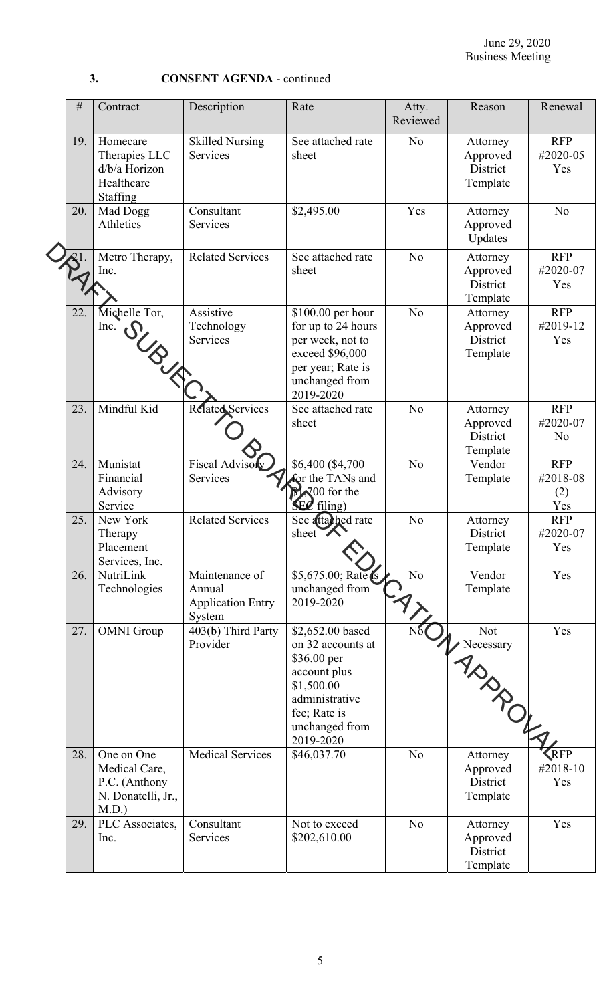| $\#$ | Contract                                                                    | Description                                                    | Rate                                                                                                                                                | Atty.<br>Reviewed | Reason                                       | Renewal                                  |
|------|-----------------------------------------------------------------------------|----------------------------------------------------------------|-----------------------------------------------------------------------------------------------------------------------------------------------------|-------------------|----------------------------------------------|------------------------------------------|
| 19.  | Homecare<br>Therapies LLC<br>d/b/a Horizon<br>Healthcare<br>Staffing        | <b>Skilled Nursing</b><br>Services                             | See attached rate<br>sheet                                                                                                                          | N <sub>o</sub>    | Attorney<br>Approved<br>District<br>Template | <b>RFP</b><br>#2020-05<br>Yes            |
| 20.  | Mad Dogg<br>Athletics                                                       | Consultant<br>Services                                         | \$2,495.00                                                                                                                                          | Yes               | Attorney<br>Approved<br>Updates              | N <sub>o</sub>                           |
|      | Metro Therapy,<br>Inc.                                                      | <b>Related Services</b>                                        | See attached rate<br>sheet                                                                                                                          | N <sub>o</sub>    | Attorney<br>Approved<br>District<br>Template | <b>RFP</b><br>#2020-07<br>Yes            |
| 22.  | Michelle Tor,<br>Inc.<br>SUBJET                                             | Assistive<br>Technology<br>Services                            | \$100.00 per hour<br>for up to 24 hours<br>per week, not to<br>exceed \$96,000<br>per year; Rate is<br>unchanged from<br>2019-2020                  | N <sub>o</sub>    | Attorney<br>Approved<br>District<br>Template | <b>RFP</b><br>#2019-12<br>Yes            |
| 23.  | Mindful Kid                                                                 | Related Services                                               | See attached rate<br>sheet                                                                                                                          | N <sub>o</sub>    | Attorney<br>Approved<br>District<br>Template | <b>RFP</b><br>#2020-07<br>N <sub>o</sub> |
| 24.  | Munistat<br>Financial<br>Advisory<br>Service                                | <b>Fiscal Adviso</b><br>Services                               | \$6,400 (\$4,700<br>for the TANs and<br>$\sqrt[3]{600}$ for the<br>$\mathbf{E}\mathbf{Z}$ filing)                                                   | No                | Vendor<br>Template                           | <b>RFP</b><br>#2018-08<br>(2)<br>Yes     |
| 25.  | New York<br>Therapy<br>Placement<br>Services, Inc.                          | <b>Related Services</b>                                        | See attached rate<br>sheet V                                                                                                                        | N <sub>o</sub>    | Attorney<br>District<br>Template             | <b>RFP</b><br>#2020-07<br>Yes            |
| 26.  | NutriLink<br>Technologies                                                   | Maintenance of<br>Annual<br><b>Application Entry</b><br>System | $\overline{$5,675.00; \text{Rate}}$<br>unchanged from<br>2019-2020                                                                                  | No.               | Vendor<br>Template                           | Yes                                      |
| 27.  | <b>OMNI</b> Group                                                           | 403(b) Third Party<br>Provider                                 | \$2,652.00 based<br>on 32 accounts at<br>\$36.00 per<br>account plus<br>\$1,500.00<br>administrative<br>fee; Rate is<br>unchanged from<br>2019-2020 |                   | Not<br>K Neces ADD A                         | Yes                                      |
| 28.  | One on One<br>Medical Care,<br>P.C. (Anthony<br>N. Donatelli, Jr.,<br>M.D.) | <b>Medical Services</b>                                        | \$46,037.70                                                                                                                                         | N <sub>o</sub>    | Approved<br>District<br>Template             | RFP<br>#2018-10<br>Yes                   |
| 29.  | PLC Associates,<br>Inc.                                                     | Consultant<br>Services                                         | Not to exceed<br>\$202,610.00                                                                                                                       | N <sub>o</sub>    | Attorney<br>Approved<br>District<br>Template | Yes                                      |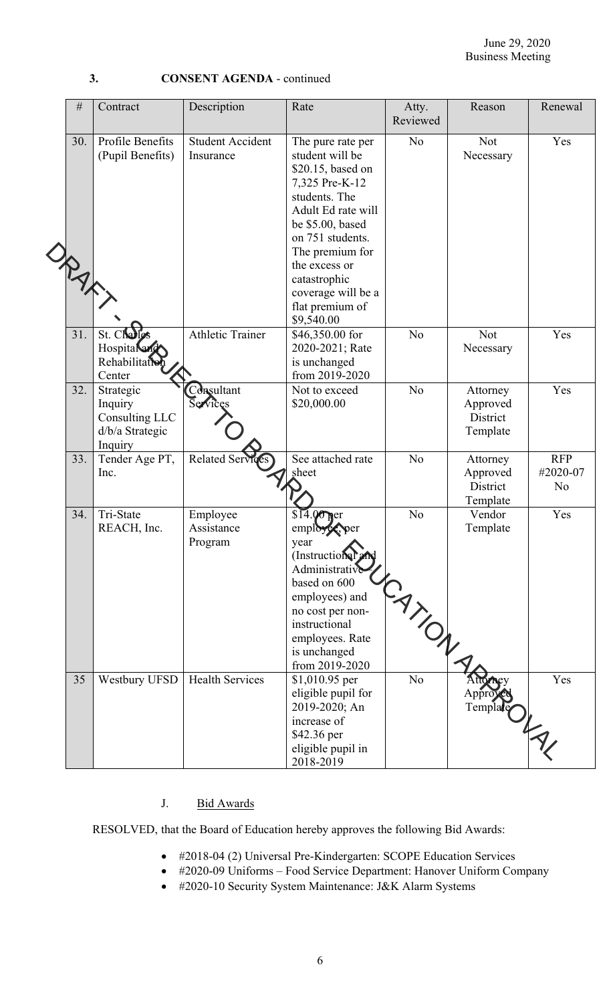| ٠<br>I            |        |
|-------------------|--------|
|                   |        |
| I<br>٠<br>۰.<br>× | $\sim$ |

**3. CONSENT AGENDA** - continued

| $\#$       | Contract                                                             | Description                          | Rate                                                                                                                                                                                                                                                                  | Atty.<br>Reviewed       | Reason                                       | Renewal                                  |
|------------|----------------------------------------------------------------------|--------------------------------------|-----------------------------------------------------------------------------------------------------------------------------------------------------------------------------------------------------------------------------------------------------------------------|-------------------------|----------------------------------------------|------------------------------------------|
| 30.<br>ORA | Profile Benefits<br>(Pupil Benefits)                                 | <b>Student Accident</b><br>Insurance | The pure rate per<br>student will be<br>\$20.15, based on<br>7,325 Pre-K-12<br>students. The<br>Adult Ed rate will<br>be \$5.00, based<br>on 751 students.<br>The premium for<br>the excess or<br>catastrophic<br>coverage will be a<br>flat premium of<br>\$9,540.00 | N <sub>o</sub>          | Not<br>Necessary                             | Yes                                      |
| 31.        | St. Challes<br>Hospitalend<br>Rehabilitation<br>Center               | <b>Athletic Trainer</b>              | \$46,350.00 for<br>2020-2021; Rate<br>is unchanged<br>from 2019-2020                                                                                                                                                                                                  | N <sub>o</sub>          | <b>Not</b><br>Necessary                      | Yes                                      |
| 32.        | Strategic<br>Inquiry<br>Consulting LLC<br>d/b/a Strategic<br>Inquiry | Consultant<br>Services               | Not to exceed<br>\$20,000.00                                                                                                                                                                                                                                          | N <sub>o</sub>          | Attorney<br>Approved<br>District<br>Template | Yes                                      |
| 33.        | Tender Age PT,<br>Inc.                                               | Related Serv                         | See attached rate<br>sheet                                                                                                                                                                                                                                            | No.                     | Attorney<br>Approved<br>District<br>Template | <b>RFP</b><br>#2020-07<br>N <sub>o</sub> |
| 34.        | Tri-State<br>REACH, Inc.                                             | Employee<br>Assistance<br>Program    | $00ne$ rer<br>emple<br>year<br>(Instructional and<br>Administrative<br>based on 600<br>employees) and<br>no cost per non-<br>instructional<br>employees. Rate<br>is unchanged<br>from 2019-2020                                                                       | N <sub>o</sub><br>CANDR | Vendor<br>Template                           | Yes                                      |
| 35         | Westbury UFSD                                                        | <b>Health Services</b>               | \$1,010.95 per<br>eligible pupil for<br>2019-2020; An<br>increase of<br>\$42.36 per<br>eligible pupil in<br>2018-2019                                                                                                                                                 | No.                     | Approved<br>Template                         | Yes                                      |

# J. Bid Awards

RESOLVED, that the Board of Education hereby approves the following Bid Awards:

- #2018-04 (2) Universal Pre-Kindergarten: SCOPE Education Services
- #2020-09 Uniforms Food Service Department: Hanover Uniform Company
- #2020-10 Security System Maintenance: J&K Alarm Systems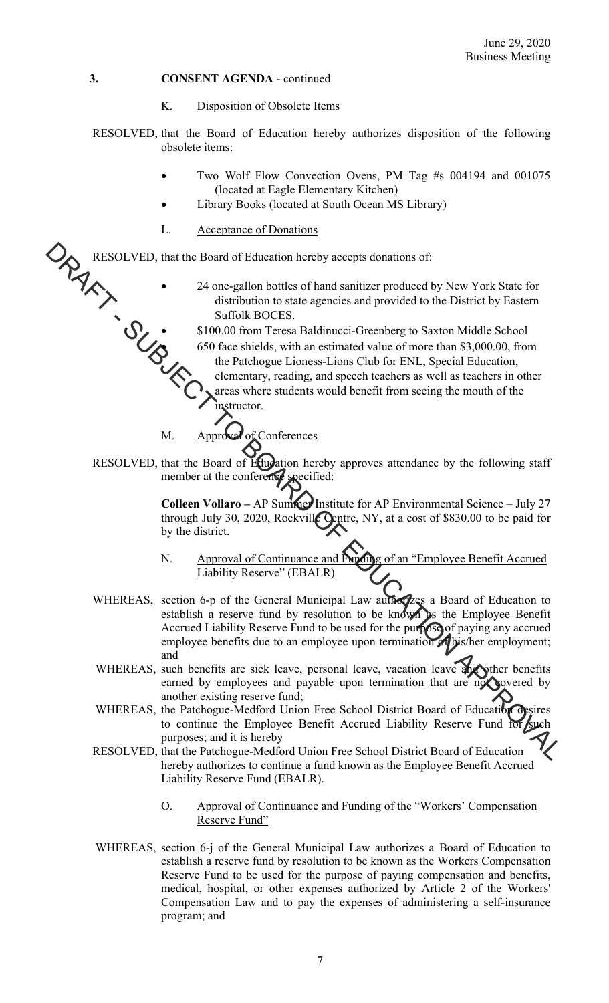#### K. Disposition of Obsolete Items

RESOLVED, that the Board of Education hereby authorizes disposition of the following obsolete items:

- Two Wolf Flow Convection Ovens, PM Tag #s 004194 and 001075 (located at Eagle Elementary Kitchen)
- Library Books (located at South Ocean MS Library)
- L. Acceptance of Donations

RESOLVED, that the Board of Education hereby accepts donations of:

- 24 one-gallon bottles of hand sanitizer produced by New York State for distribution to state agencies and provided to the District by Eastern Suffolk BOCES.
- \$100.00 from Teresa Baldinucci-Greenberg to Saxton Middle School 650 face shields, with an estimated value of more than \$3,000.00, from the Patchogue Lioness-Lions Club for ENL, Special Education, elementary, reading, and speech teachers as well as teachers in other areas where students would benefit from seeing the mouth of the instructor. **EXECUTE THE SURFACE CONFIDENT CONFIDENCE CONDUCE A** THE TOWER CONFIDENT AS SURFACE TO STATE ON THE SURFACE OF CONFIDENCE IN THE SURFACE OF CONFIDENCE CONFIDENCE CONFIDENCE CONFIDENCE CONFIDENCIAL SURFACE OF CONFIDENCIAL

M. Approval of Conferences

RESOLVED, that the Board of Education hereby approves attendance by the following staff member at the conference specified:

> **Colleen Vollaro – AP Summer Institute for AP Environmental Science – July 27** through July 30, 2020, Rockville Centre, NY, at a cost of \$830.00 to be paid for by the district.

- N. Approval of Continuance and Funding of an "Employee Benefit Accrued Liability Reserve" (EBALR)
- WHEREAS, section 6-p of the General Municipal Law authorizes a Board of Education to establish a reserve fund by resolution to be known as the Employee Benefit Accrued Liability Reserve Fund to be used for the purpose of paying any accrued employee benefits due to an employee upon termination of his/her employment; and
- WHEREAS, such benefits are sick leave, personal leave, vacation leave and other benefits earned by employees and payable upon termination that are not covered by another existing reserve fund;
- WHEREAS, the Patchogue-Medford Union Free School District Board of Education desires to continue the Employee Benefit Accrued Liability Reserve Fund for such purposes; and it is hereby
- RESOLVED, that the Patchogue-Medford Union Free School District Board of Education hereby authorizes to continue a fund known as the Employee Benefit Accrued Liability Reserve Fund (EBALR).
	- O. Approval of Continuance and Funding of the "Workers' Compensation Reserve Fund"
- WHEREAS, section 6-j of the General Municipal Law authorizes a Board of Education to establish a reserve fund by resolution to be known as the Workers Compensation Reserve Fund to be used for the purpose of paying compensation and benefits, medical, hospital, or other expenses authorized by Article 2 of the Workers' Compensation Law and to pay the expenses of administering a self-insurance program; and

7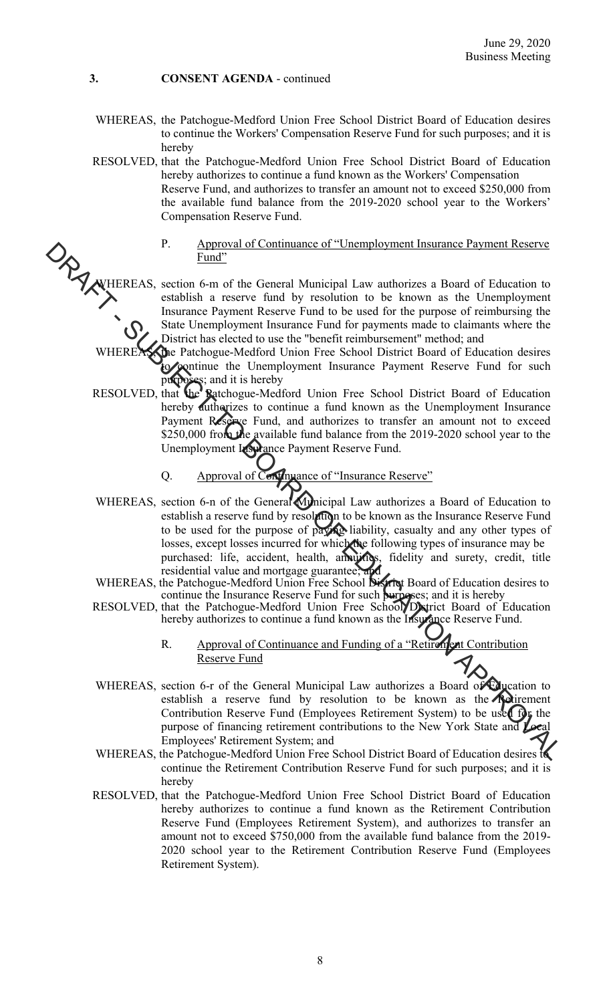- WHEREAS, the Patchogue-Medford Union Free School District Board of Education desires to continue the Workers' Compensation Reserve Fund for such purposes; and it is hereby
- RESOLVED, that the Patchogue-Medford Union Free School District Board of Education hereby authorizes to continue a fund known as the Workers' Compensation Reserve Fund, and authorizes to transfer an amount not to exceed \$250,000 from the available fund balance from the 2019-2020 school year to the Workers' Compensation Reserve Fund.
	- P. Approval of Continuance of "Unemployment Insurance Payment Reserve Fund"

WHEREAS, section 6-m of the General Municipal Law authorizes a Board of Education to establish a reserve fund by resolution to be known as the Unemployment Insurance Payment Reserve Fund to be used for the purpose of reimbursing the State Unemployment Insurance Fund for payments made to claimants where the District has elected to use the "benefit reimbursement" method; and

WHEREAS, the Patchogue-Medford Union Free School District Board of Education desires to continue the Unemployment Insurance Payment Reserve Fund for such purposes; and it is hereby<br>RESOLVED, that the Ratchogue-Medi

- RESOLVED, that the Ratchogue-Medford Union Free School District Board of Education hereby authorizes to continue a fund known as the Unemployment Insurance Payment Reserve Fund, and authorizes to transfer an amount not to exceed \$250,000 from the available fund balance from the 2019-2020 school year to the Unemployment Insurance Payment Reserve Fund.
	- Q. Approval of Continuance of "Insurance Reserve"
- WHEREAS, section 6-n of the General Municipal Law authorizes a Board of Education to establish a reserve fund by resolution to be known as the Insurance Reserve Fund to be used for the purpose of paying liability, casualty and any other types of losses, except losses incurred for which the following types of insurance may be purchased: life, accident, health, annuities, fidelity and surety, credit, title residential value and mortgage guarantee; Proposition of Continuance of "Criemptoyment Instance Payment Reserves<br>
MITTREAS, section 6-m of the General Municipal Law authorizes a Board of Falucistion to<br>
shake the Keeper lind by resolution to be known as the Chempt
	- WHEREAS, the Patchogue-Medford Union Free School District Board of Education desires to continue the Insurance Reserve Fund for such purposes; and it is hereby
	- RESOLVED, that the Patchogue-Medford Union Free School District Board of Education hereby authorizes to continue a fund known as the Insurance Reserve Fund.
		- R. Approval of Continuance and Funding of a "Retirement Contribution Reserve Fund
	- WHEREAS, section 6-r of the General Municipal Law authorizes a Board of Education to establish a reserve fund by resolution to be known as the **Retirement** Contribution Reserve Fund (Employees Retirement System) to be used for the purpose of financing retirement contributions to the New York State and Local Employees' Retirement System; and
	- WHEREAS, the Patchogue-Medford Union Free School District Board of Education desires to continue the Retirement Contribution Reserve Fund for such purposes; and it is hereby
	- RESOLVED, that the Patchogue-Medford Union Free School District Board of Education hereby authorizes to continue a fund known as the Retirement Contribution Reserve Fund (Employees Retirement System), and authorizes to transfer an amount not to exceed \$750,000 from the available fund balance from the 2019- 2020 school year to the Retirement Contribution Reserve Fund (Employees Retirement System).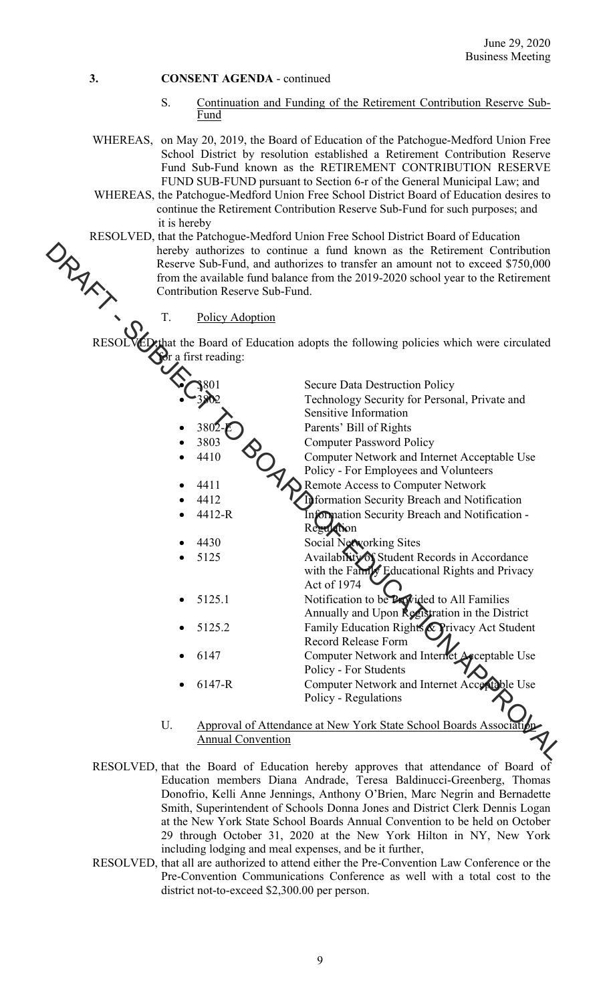- S. Continuation and Funding of the Retirement Contribution Reserve Sub-Fund
- WHEREAS, on May 20, 2019, the Board of Education of the Patchogue-Medford Union Free School District by resolution established a Retirement Contribution Reserve Fund Sub-Fund known as the RETIREMENT CONTRIBUTION RESERVE FUND SUB-FUND pursuant to Section 6-r of the General Municipal Law; and
- WHEREAS, the Patchogue-Medford Union Free School District Board of Education desires to continue the Retirement Contribution Reserve Sub-Fund for such purposes; and it is hereby
- RESOLVED, that the Patchogue-Medford Union Free School District Board of Education hereby authorizes to continue a fund known as the Retirement Contribution Reserve Sub-Fund, and authorizes to transfer an amount not to exceed \$750,000 from the available fund balance from the 2019-2020 school year to the Retirement Contribution Reserve Sub-Fund.

| ORAX,        |    | hereby authorizes to continue a fund known as the Retirement Contribution<br>Reserve Sub-Fund, and authorizes to transfer an amount not to exceed \$750,000<br>from the available fund balance from the 2019-2020 school year to the Retirement<br>Contribution Reserve Sub-Fund. |                                                                                                               |  |  |
|--------------|----|-----------------------------------------------------------------------------------------------------------------------------------------------------------------------------------------------------------------------------------------------------------------------------------|---------------------------------------------------------------------------------------------------------------|--|--|
|              | T. | <b>Policy Adoption</b>                                                                                                                                                                                                                                                            |                                                                                                               |  |  |
| <b>RESOI</b> |    | Ser a first reading:                                                                                                                                                                                                                                                              | ED, that the Board of Education adopts the following policies which were circulated                           |  |  |
|              |    |                                                                                                                                                                                                                                                                                   | <b>Secure Data Destruction Policy</b>                                                                         |  |  |
|              |    |                                                                                                                                                                                                                                                                                   | Technology Security for Personal, Private and                                                                 |  |  |
|              |    |                                                                                                                                                                                                                                                                                   | Sensitive Information                                                                                         |  |  |
|              |    | 380                                                                                                                                                                                                                                                                               | Parents' Bill of Rights                                                                                       |  |  |
|              |    | 3803                                                                                                                                                                                                                                                                              | <b>Computer Password Policy</b>                                                                               |  |  |
|              |    | 4410                                                                                                                                                                                                                                                                              | Computer Network and Internet Acceptable Use                                                                  |  |  |
|              |    |                                                                                                                                                                                                                                                                                   | Policy - For Employees and Volunteers                                                                         |  |  |
|              |    | 4411                                                                                                                                                                                                                                                                              | Remote Access to Computer Network                                                                             |  |  |
|              |    | 4412                                                                                                                                                                                                                                                                              | <b>Information Security Breach and Notification</b>                                                           |  |  |
|              |    | 4412-R                                                                                                                                                                                                                                                                            | Information Security Breach and Notification -<br>Regulation                                                  |  |  |
|              |    | 4430                                                                                                                                                                                                                                                                              | Social Networking Sites                                                                                       |  |  |
|              |    | 5125                                                                                                                                                                                                                                                                              | Availability of Student Records in Accordance<br>with the Fanny Educational Rights and Privacy<br>Act of 1974 |  |  |
|              |    | 5125.1                                                                                                                                                                                                                                                                            | Notification to be Provided to All Families<br>Annually and Upon Registration in the District                 |  |  |
|              |    | 5125.2                                                                                                                                                                                                                                                                            | Family Education Rights & Privacy Act Student                                                                 |  |  |
|              |    |                                                                                                                                                                                                                                                                                   | Record Release Form                                                                                           |  |  |
|              |    | 6147                                                                                                                                                                                                                                                                              | Computer Network and Internet Acceptable Use                                                                  |  |  |
|              |    |                                                                                                                                                                                                                                                                                   | Policy - For Students                                                                                         |  |  |
|              |    | 6147-R                                                                                                                                                                                                                                                                            | Computer Network and Internet Acceptable Use                                                                  |  |  |
|              |    |                                                                                                                                                                                                                                                                                   | Policy - Regulations                                                                                          |  |  |
|              |    |                                                                                                                                                                                                                                                                                   |                                                                                                               |  |  |
|              | U. |                                                                                                                                                                                                                                                                                   | Approval of Attendance at New York State School Boards Association                                            |  |  |
|              |    | <b>Annual Convention</b>                                                                                                                                                                                                                                                          |                                                                                                               |  |  |
|              |    |                                                                                                                                                                                                                                                                                   |                                                                                                               |  |  |

- U. Approval of Attendance at New York State School Boards Association Annual Convention
- RESOLVED, that the Board of Education hereby approves that attendance of Board of Education members Diana Andrade, Teresa Baldinucci-Greenberg, Thomas Donofrio, Kelli Anne Jennings, Anthony O'Brien, Marc Negrin and Bernadette Smith, Superintendent of Schools Donna Jones and District Clerk Dennis Logan at the New York State School Boards Annual Convention to be held on October 29 through October 31, 2020 at the New York Hilton in NY, New York including lodging and meal expenses, and be it further,
- RESOLVED, that all are authorized to attend either the Pre-Convention Law Conference or the Pre-Convention Communications Conference as well with a total cost to the district not-to-exceed \$2,300.00 per person.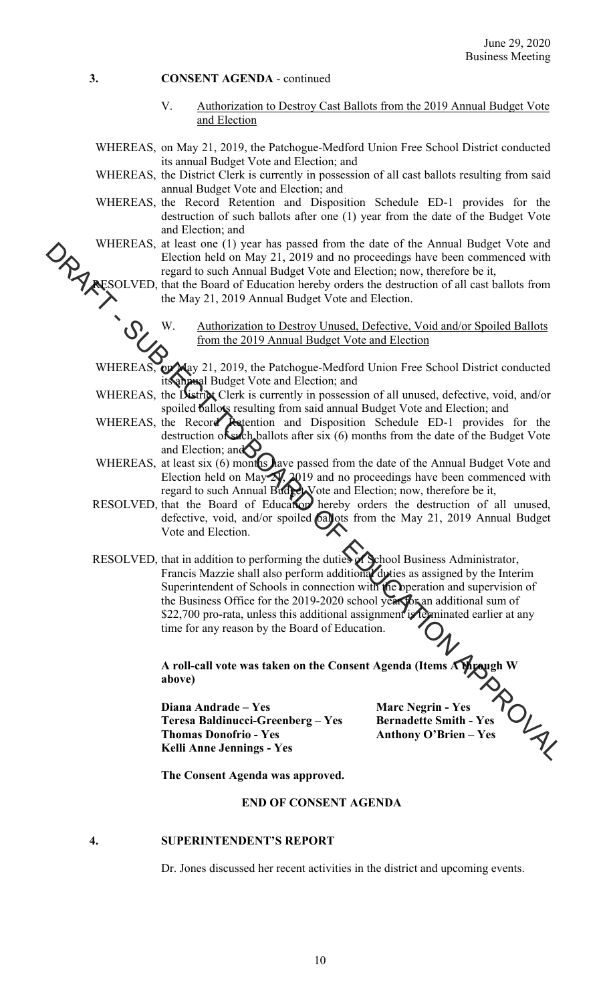V. Authorization to Destroy Cast Ballots from the 2019 Annual Budget Vote and Election

WHEREAS, on May 21, 2019, the Patchogue-Medford Union Free School District conducted its annual Budget Vote and Election; and

- WHEREAS, the District Clerk is currently in possession of all cast ballots resulting from said annual Budget Vote and Election; and
- WHEREAS, the Record Retention and Disposition Schedule ED-1 provides for the destruction of such ballots after one (1) year from the date of the Budget Vote and Election; and
- WHEREAS, at least one (1) year has passed from the date of the Annual Budget Vote and Election held on May 21, 2019 and no proceedings have been commenced with regard to such Annual Budget Vote and Election; now, therefore be it,
- RESOLVED, that the Board of Education hereby orders the destruction of all cast ballots from the May 21, 2019 Annual Budget Vote and Election.

W. Authorization to Destroy Unused, Defective, Void and/or Spoiled Ballots from the 2019 Annual Budget Vote and Election

WHEREAS, on May 21, 2019, the Patchogue-Medford Union Free School District conducted annual Budget Vote and Election; and

- WHEREAS, the District Clerk is currently in possession of all unused, defective, void, and/or spoiled ballots resulting from said annual Budget Vote and Election; and
- WHEREAS, the Record Retention and Disposition Schedule ED-1 provides for the destruction of such ballots after six (6) months from the date of the Budget Vote and Election; and
- WHEREAS, at least six (6) months have passed from the date of the Annual Budget Vote and Election held on May  $2\sqrt{2}$ ,  $2019$  and no proceedings have been commenced with regard to such Annual Budget Vote and Election; now, therefore be it,
- RESOLVED, that the Board of Education hereby orders the destruction of all unused, defective, void, and/or spoiled ballots from the May 21, 2019 Annual Budget Vote and Election.
- RESOLVED, that in addition to performing the duties of School Business Administrator, Francis Mazzie shall also perform additional duties as assigned by the Interim Superintendent of Schools in connection with the operation and supervision of the Business Office for the 2019-2020 school year for an additional sum of \$22,700 pro-rata, unless this additional assignment is terminated earlier at any time for any reason by the Board of Education. WHEKEAS. altest on 11) year has passed from the date of the Amail Diagonal Cost<br>
FRection held on May 21, 2019 and no proceedings have been commenced with<br>
RESOLVED, that the Board of Education hereby orders the destincti

**A roll-call vote was taken on the Consent Agenda (Items A through W above)** 

**Diana Andrade – Yes Marc Negrin - Yes 2013**<br> **1999** Diana Andrade – Yes Marc Negrin - Yes Teresa Baldinucci-Greenberg – Yes Bernadette Smith - Yes Anthony O'Brien – Yes Thomas Donofrio - Yes **Anthony O'Brien – Yes Kelli Anne Jennings - Yes** 

 **The Consent Agenda was approved.** 

# **END OF CONSENT AGENDA**

### **4. SUPERINTENDENT'S REPORT**

Dr. Jones discussed her recent activities in the district and upcoming events.